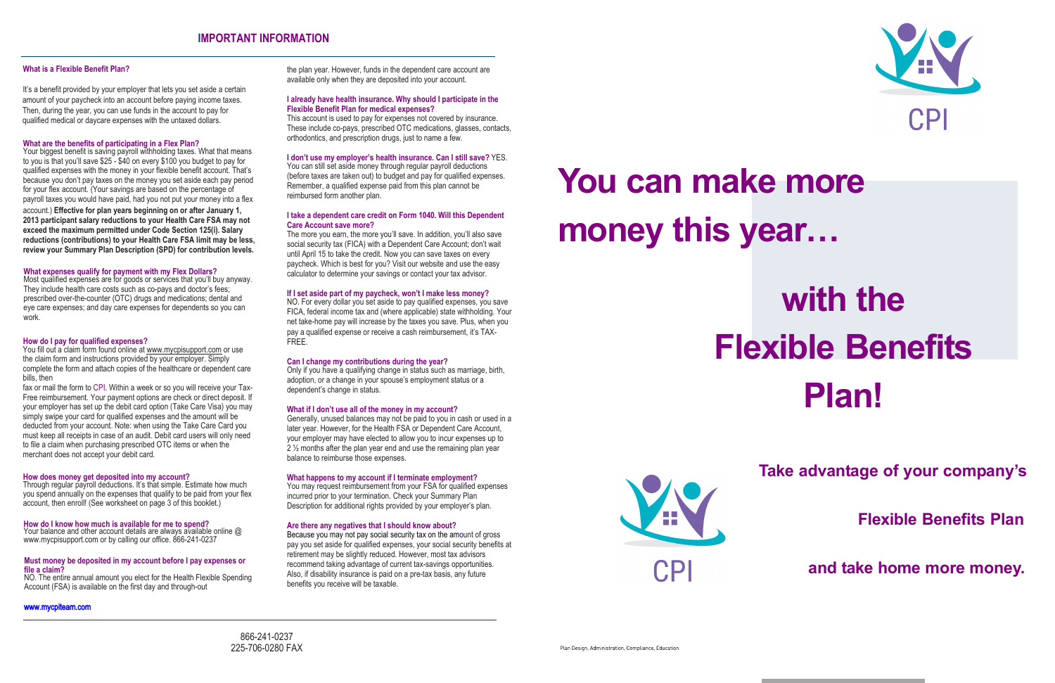# **You can make more money this year… with the Flexible Benefits Plan! You can make more money this year… with the Flexible Benefits Plan!**



**Take advantage of your company's Take advantage of your company's**

> **Flexible Benefits Plan Flexible Benefits Plan**

**and take home more money. and take home more money.**

the plan year. However, funds in the dependent care account are available only when they are deposited into your account.

## **I already have health insurance. Why should I participate in the Flexible Benefit Plan for medical expenses?**

This account is used to pay for expenses not covered by insurance. These include co-pays, prescribed OTC medications, glasses, contacts, orthodontics, and prescription drugs, just to name a few.

## **I don't use my employer's health insurance. Can I still save?** YES.

You can still set aside money through regular payroll deductions (before taxes are taken out) to budget and pay for qualified expenses. Remember, a qualified expense paid from this plan cannot be reimbursed form another plan.

Only if you have a qualifying change in status such as marriage, birth, adoption, or a change in your spouse's employment status or a dependent's change in status.

## **I take a dependent care credit on Form 1040. Will this Dependent Care Account save more?**

The more you earn, the more you'll save. In addition, you'll also save social security tax (FICA) with a Dependent Care Account; don't wait until April 15 to take the credit. Now you can save taxes on every paycheck. Which is best for you? Visit our website and use the easy calculator to determine your savings or contact your tax advisor.

## **If I set aside part of my paycheck, won't I make less money?**

NO. For every dollar you set aside to pay qualified expenses, you save FICA, federal income tax and (where applicable) state withholding. Your net take-home pay will increase by the taxes you save. Plus, when you pay a qualified expense or receive a cash reimbursement, it's TAX-FREE.

It's a benefit provided by your employer that lets you set aside a certain amount of your paycheck into an account before paying income taxes. Then, during the year, you can use funds in the account to pay for qualified medical or daycare expenses with the untaxed dollars.

## **Can I change my contributions during the year?**

## **What if I don't use all of the money in my account?**

Generally, unused balances may not be paid to you in cash or used in a later year. However, for the Health FSA or Dependent Care Account, your employer may have elected to allow you to incur expenses up to 2 <sup>1</sup>/<sub>2</sub> months after the plan year end and use the remaining plan year balance to reimburse those expenses.

## **What happens to my account if I terminate employment?**

You may request reimbursement from your FSA for qualified expenses incurred prior to your termination. Check your Summary Plan Description for additional rights provided by your employer's plan.

## **Are there any negatives that I should know about?**

Because you may not pay social security tax on the amount of gross pay you set aside for qualified expenses, your social security benefits at retirement may be slightly reduced. However, most tax advisors recommend taking advantage of current tax-savings opportunities. Also, if disability insurance is paid on a pre-tax basis, any future benefits you receive will be taxable.

Your balance and other account details are always available online @ www.mycpisupport.com or by calling our office. 866-241-0237

## **What is a Flexible Benefit Plan?**

## **What are the benefits of participating in a Flex Plan?**

Your biggest benefit is saving payroll withholding taxes. What that means to you is that you'll save \$25 - \$40 on every \$100 you budget to pay for qualified expenses with the money in your flexible benefit account. That's because you don't pay taxes on the money you set aside each pay period for your flex account. (Your savings are based on the percentage of payroll taxes you would have paid, had you not put your money into a flex account.) **Effective for plan years beginning on or after January 1, 2013 participant salary reductions to your Health Care FSA may not exceed the maximum permitted under Code Section 125(i). Salary reductions (contributions) to your Health Care FSA limit may be less, review your Summary Plan Description (SPD) for contribution levels.** 

## **What expenses qualify for payment with my Flex Dollars?**

Most qualified expenses are for goods or services that you'll buy anyway. They include health care costs such as co-pays and doctor's fees; prescribed over-the-counter (OTC) drugs and medications; dental and eye care expenses; and day care expenses for dependents so you can work.

## **How do I pay for qualified expenses?**

You fill out a claim form found online at www.mycpisupport.com or use the claim form and instructions provided by your employer. Simply complete the form and attach copies of the healthcare or dependent care bills, then

fax or mail the form to CPI. Within a week or so you will receive your Tax-Free reimbursement. Your payment options are check or direct deposit. If your employer has set up the debit card option (Take Care Visa) you may simply swipe your card for qualified expenses and the amount will be deducted from your account. Note: when using the Take Care Card you must keep all receipts in case of an audit. Debit card users will only need to file a claim when purchasing prescribed OTC items or when the merchant does not accept your debit card.

## **How does money get deposited into my account?**

Through regular payroll deductions. It's that simple. Estimate how much you spend annually on the expenses that qualify to be paid from your flex account, then enroll! (See worksheet on page 3 of this booklet.)

## **How do I know how much is available for me to spend?**

## **Must money be deposited in my account before I pay expenses or file a claim?**

NO. The entire annual amount you elect for the Health Flexible Spending Account (FSA) is available on the first day and through-out

## www.mycpiteam.com